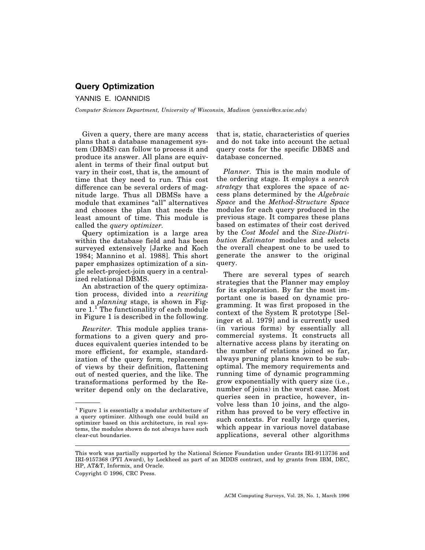## **Query Optimization**

## YANNIS E. IOANNIDIS

*Computer Sciences Department, University of Wisconsin, Madison* ^*yannis@cs.wisc.edu*&

Given a query, there are many access plans that a database management system (DBMS) can follow to process it and produce its answer. All plans are equivalent in terms of their final output but vary in their cost, that is, the amount of time that they need to run. This cost difference can be several orders of magnitude large. Thus all DBMSs have a module that examines "all" alternatives and chooses the plan that needs the least amount of time. This module is called the *query optimizer.*

Query optimization is a large area within the database field and has been surveyed extensively [Jarke and Koch 1984; Mannino et al. 1988]. This short paper emphasizes optimization of a single select-project-join query in a centralized relational DBMS.

An abstraction of the query optimization process, divided into a *rewriting* and a *planning* stage, is shown in Figure  $1<sup>1</sup>$ . The functionality of each module in Figure 1 is described in the following.

*Rewriter.* This module applies transformations to a given query and produces equivalent queries intended to be more efficient, for example, standardization of the query form, replacement of views by their definition, flattening out of nested queries, and the like. The transformations performed by the Rewriter depend only on the declarative,

that is, static, characteristics of queries and do not take into account the actual query costs for the specific DBMS and database concerned.

*Planner.* This is the main module of the ordering stage. It employs a *search strategy* that explores the space of access plans determined by the *Algebraic Space* and the *Method-Structure Space* modules for each query produced in the previous stage. It compares these plans based on estimates of their cost derived by the *Cost Model* and the *Size-Distribution Estimator* modules and selects the overall cheapest one to be used to generate the answer to the original query.

There are several types of search strategies that the Planner may employ for its exploration. By far the most important one is based on dynamic programming. It was first proposed in the context of the System R prototype [Selinger et al. 1979] and is currently used (in various forms) by essentially all commercial systems. It constructs all alternative access plans by iterating on the number of relations joined so far, always pruning plans known to be suboptimal. The memory requirements and running time of dynamic programming grow exponentially with query size (i.e., number of joins) in the worst case. Most queries seen in practice, however, involve less than 10 joins, and the algorithm has proved to be very effective in such contexts. For really large queries, which appear in various novel database applications, several other algorithms

<sup>1</sup> Figure 1 is essentially a modular architecture of a query optimizer. Although one could build an optimizer based on this architecture, in real systems, the modules shown do not always have such clear-cut boundaries.

This work was partially supported by the National Science Foundation under Grants IRI-9113736 and IRI-9157368 (PYI Award), by Lockheed as part of an MDDS contract, and by grants from IBM, DEC, HP, AT&T, Informix, and Oracle.

Copyright © 1996, CRC Press.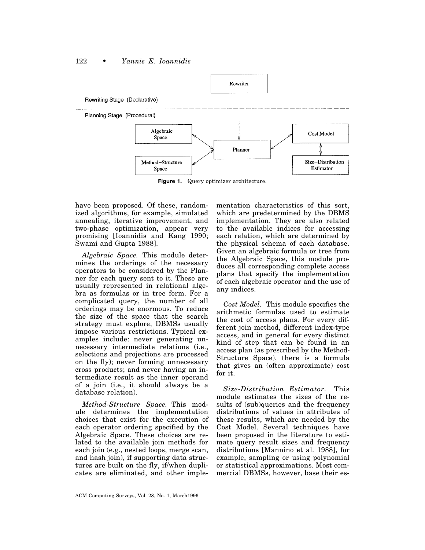## 122 • *Yannis E. Ioannidis*



**Figure 1.** Query optimizer architecture.

have been proposed. Of these, randomized algorithms, for example, simulated annealing, iterative improvement, and two-phase optimization, appear very promising [Ioannidis and Kang 1990; Swami and Gupta 1988].

*Algebraic Space.* This module determines the orderings of the necessary operators to be considered by the Planner for each query sent to it. These are usually represented in relational algebra as formulas or in tree form. For a complicated query, the number of all orderings may be enormous. To reduce the size of the space that the search strategy must explore, DBMSs usually impose various restrictions. Typical examples include: never generating unnecessary intermediate relations (i.e., selections and projections are processed on the fly); never forming unnecessary cross products; and never having an intermediate result as the inner operand of a join (i.e., it should always be a database relation).

*Method-Structure Space.* This module determines the implementation choices that exist for the execution of each operator ordering specified by the Algebraic Space. These choices are related to the available join methods for each join (e.g., nested loops, merge scan, and hash join), if supporting data structures are built on the fly, if/when duplicates are eliminated, and other implementation characteristics of this sort, which are predetermined by the DBMS implementation. They are also related to the available indices for accessing each relation, which are determined by the physical schema of each database. Given an algebraic formula or tree from the Algebraic Space, this module produces all corresponding complete access plans that specify the implementation of each algebraic operator and the use of any indices.

*Cost Model.* This module specifies the arithmetic formulas used to estimate the cost of access plans. For every different join method, different index-type access, and in general for every distinct kind of step that can be found in an access plan (as prescribed by the Method-Structure Space), there is a formula that gives an (often approximate) cost for it.

*Size-Distribution Estimator.* This module estimates the sizes of the results of (sub)queries and the frequency distributions of values in attributes of these results, which are needed by the Cost Model. Several techniques have been proposed in the literature to estimate query result sizes and frequency distributions [Mannino et al. 1988], for example, sampling or using polynomial or statistical approximations. Most commercial DBMSs, however, base their es